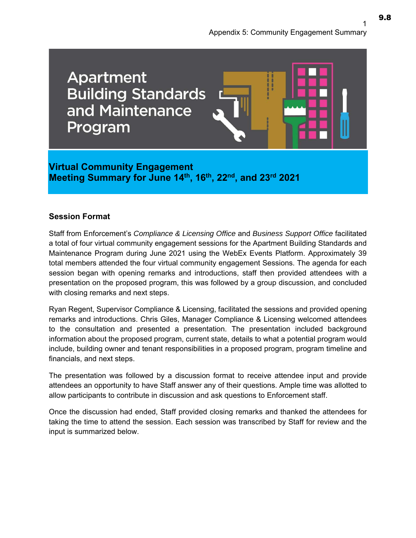

**Virtual Community Engagement Meeting Summary for June 14th, 16th, 22nd, and 23rd 2021** 

#### **Session Format**

Staff from Enforcement's *Compliance & Licensing Office* and *Business Support Office* facilitated a total of four virtual community engagement sessions for the Apartment Building Standards and Maintenance Program during June 2021 using the WebEx Events Platform. Approximately 39 total members attended the four virtual community engagement Sessions. The agenda for each session began with opening remarks and introductions, staff then provided attendees with a presentation on the proposed program, this was followed by a group discussion, and concluded with closing remarks and next steps.

Ryan Regent, Supervisor Compliance & Licensing, facilitated the sessions and provided opening remarks and introductions. Chris Giles, Manager Compliance & Licensing welcomed attendees to the consultation and presented a presentation. The presentation included background information about the proposed program, current state, details to what a potential program would include, building owner and tenant responsibilities in a proposed program, program timeline and financials, and next steps.

The presentation was followed by a discussion format to receive attendee input and provide attendees an opportunity to have Staff answer any of their questions. Ample time was allotted to allow participants to contribute in discussion and ask questions to Enforcement staff.

Once the discussion had ended, Staff provided closing remarks and thanked the attendees for taking the time to attend the session. Each session was transcribed by Staff for review and the input is summarized below.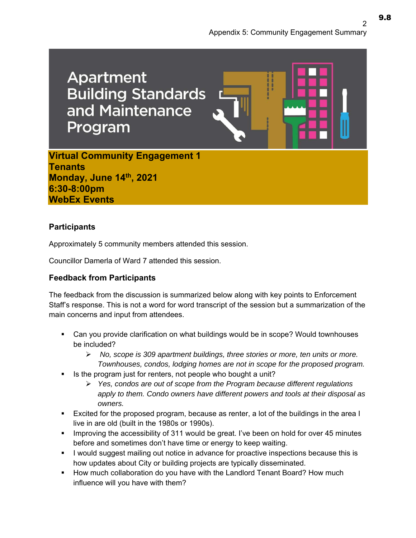**Apartment Building Standards** and Maintenance Program **Virtual Community Engagement 1 Tenants Monday, June 14th, 2021** 

**6:30-8:00pm WebEx Events** 

# **Participants**

Approximately 5 community members attended this session.

Councillor Damerla of Ward 7 attended this session.

# **Feedback from Participants**

The feedback from the discussion is summarized below along with key points to Enforcement Staff's response. This is not a word for word transcript of the session but a summarization of the main concerns and input from attendees.

- Can you provide clarification on what buildings would be in scope? Would townhouses be included?
	- *No, scope is 309 apartment buildings, three stories or more, ten units or more. Townhouses, condos, lodging homes are not in scope for the proposed program.*
- Is the program just for renters, not people who bought a unit?
	- *Yes, condos are out of scope from the Program because different regulations apply to them. Condo owners have different powers and tools at their disposal as owners.*
- Excited for the proposed program, because as renter, a lot of the buildings in the area I live in are old (built in the 1980s or 1990s).
- **IMPROM** 1 Improving the accessibility of 311 would be great. I've been on hold for over 45 minutes before and sometimes don't have time or energy to keep waiting.
- I would suggest mailing out notice in advance for proactive inspections because this is how updates about City or building projects are typically disseminated.
- How much collaboration do you have with the Landlord Tenant Board? How much influence will you have with them?

9.8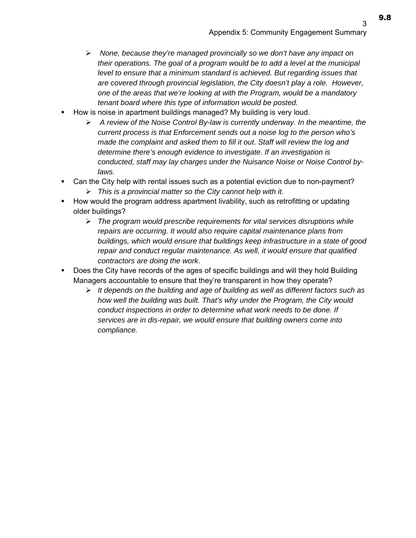- *None, because they're managed provincially so we don't have any impact on their operations. The goal of a program would be to add a level at the municipal*  level to ensure that a minimum standard is achieved. But regarding issues that *are covered through provincial legislation, the City doesn't play a role. However, one of the areas that we're looking at with the Program, would be a mandatory tenant board where this type of information would be posted.*
- How is noise in apartment buildings managed? My building is very loud.
	- *A review of the Noise Control By-law is currently underway. In the meantime, the current process is that Enforcement sends out a noise log to the person who's made the complaint and asked them to fill it out. Staff will review the log and determine there's enough evidence to investigate. If an investigation is conducted, staff may lay charges under the Nuisance Noise or Noise Control bylaws.*
- Can the City help with rental issues such as a potential eviction due to non-payment? *This is a provincial matter so the City cannot help with it.*
- **How would the program address apartment livability, such as retrofitting or updating** older buildings?
	- *The program would prescribe requirements for vital services disruptions while repairs are occurring. It would also require capital maintenance plans from buildings, which would ensure that buildings keep infrastructure in a state of good repair and conduct regular maintenance. As well, it would ensure that qualified contractors are doing the work*.
- Does the City have records of the ages of specific buildings and will they hold Building Managers accountable to ensure that they're transparent in how they operate?
	- *It depends on the building and age of building as well as different factors such as how well the building was built. That's why under the Program, the City would conduct inspections in order to determine what work needs to be done. If services are in dis-repair, we would ensure that building owners come into compliance.*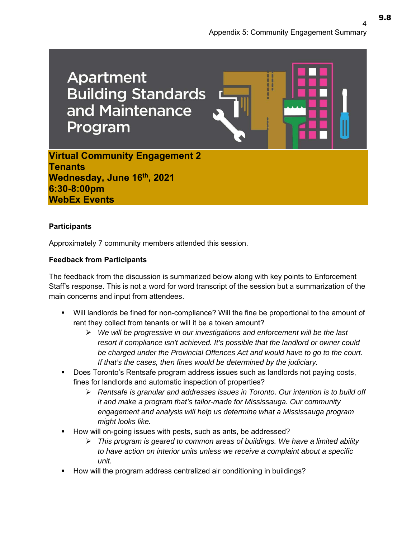**Apartment Building Standards** and Maintenance Program

**Virtual Community Engagement 2 Tenants**  Wednesday, June 16<sup>th</sup>, 2021 **6:30-8:00pm WebEx Events** 

### **Participants**

Approximately 7 community members attended this session.

### **Feedback from Participants**

The feedback from the discussion is summarized below along with key points to Enforcement Staff's response. This is not a word for word transcript of the session but a summarization of the main concerns and input from attendees.

- Will landlords be fined for non-compliance? Will the fine be proportional to the amount of rent they collect from tenants or will it be a token amount?
	- *We will be progressive in our investigations and enforcement will be the last resort if compliance isn't achieved. It's possible that the landlord or owner could be charged under the Provincial Offences Act and would have to go to the court. If that's the cases, then fines would be determined by the judiciary.*
- Does Toronto's Rentsafe program address issues such as landlords not paying costs, fines for landlords and automatic inspection of properties?
	- *Rentsafe is granular and addresses issues in Toronto. Our intention is to build off it and make a program that's tailor-made for Mississauga. Our community engagement and analysis will help us determine what a Mississauga program might looks like.*
- How will on-going issues with pests, such as ants, be addressed?
	- *This program is geared to common areas of buildings. We have a limited ability to have action on interior units unless we receive a complaint about a specific unit.*
- How will the program address centralized air conditioning in buildings?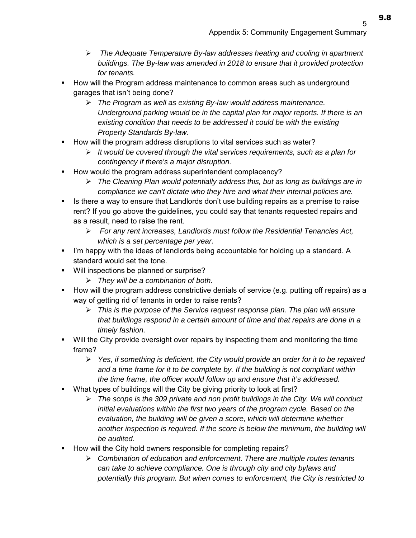- *The Adequate Temperature By-law addresses heating and cooling in apartment buildings. The By-law was amended in 2018 to ensure that it provided protection for tenants.*
- How will the Program address maintenance to common areas such as underground garages that isn't being done?
	- *The Program as well as existing By-law would address maintenance. Underground parking would be in the capital plan for major reports. If there is an existing condition that needs to be addressed it could be with the existing Property Standards By-law.*
- How will the program address disruptions to vital services such as water?
	- *It would be covered through the vital services requirements, such as a plan for contingency if there's a major disruption.*
- How would the program address superintendent complacency?
	- *The Cleaning Plan would potentially address this, but as long as buildings are in compliance we can't dictate who they hire and what their internal policies are.*
- If Is there a way to ensure that Landlords don't use building repairs as a premise to raise rent? If you go above the guidelines, you could say that tenants requested repairs and as a result, need to raise the rent.
	- *For any rent increases, Landlords must follow the Residential Tenancies Act, which is a set percentage per year.*
- I'm happy with the ideas of landlords being accountable for holding up a standard. A standard would set the tone.
- Will inspections be planned or surprise?
	- *They will be a combination of both.*
- How will the program address constrictive denials of service (e.g. putting off repairs) as a way of getting rid of tenants in order to raise rents?
	- *This is the purpose of the Service request response plan. The plan will ensure that buildings respond in a certain amount of time and that repairs are done in a timely fashion.*
- Will the City provide oversight over repairs by inspecting them and monitoring the time frame?
	- *Yes, if something is deficient, the City would provide an order for it to be repaired and a time frame for it to be complete by. If the building is not compliant within the time frame, the officer would follow up and ensure that it's addressed.*
- What types of buildings will the City be giving priority to look at first?
	- *The scope is the 309 private and non profit buildings in the City. We will conduct initial evaluations within the first two years of the program cycle. Based on the evaluation, the building will be given a score, which will determine whether another inspection is required. If the score is below the minimum, the building will be audited.*
- How will the City hold owners responsible for completing repairs?
	- *Combination of education and enforcement. There are multiple routes tenants can take to achieve compliance. One is through city and city bylaws and potentially this program. But when comes to enforcement, the City is restricted to*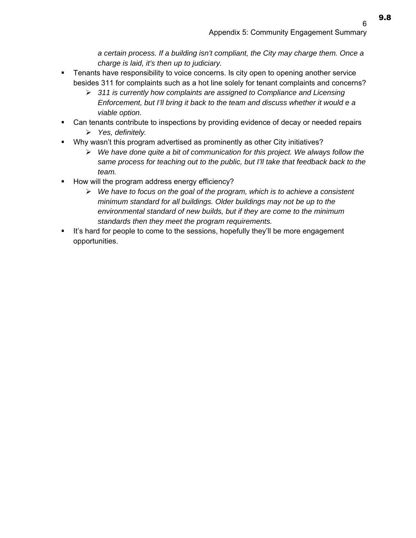9.8

*a certain process. If a building isn't compliant, the City may charge them. Once a charge is laid, it's then up to judiciary.* 

- Tenants have responsibility to voice concerns. Is city open to opening another service besides 311 for complaints such as a hot line solely for tenant complaints and concerns?
	- *311 is currently how complaints are assigned to Compliance and Licensing Enforcement, but I'll bring it back to the team and discuss whether it would e a viable option.*
- Can tenants contribute to inspections by providing evidence of decay or needed repairs *Yes, definitely.*
- Why wasn't this program advertised as prominently as other City initiatives?
	- *We have done quite a bit of communication for this project. We always follow the same process for teaching out to the public, but I'll take that feedback back to the team.*
- How will the program address energy efficiency?
	- *We have to focus on the goal of the program, which is to achieve a consistent minimum standard for all buildings. Older buildings may not be up to the environmental standard of new builds, but if they are come to the minimum standards then they meet the program requirements.*
- It's hard for people to come to the sessions, hopefully they'll be more engagement opportunities.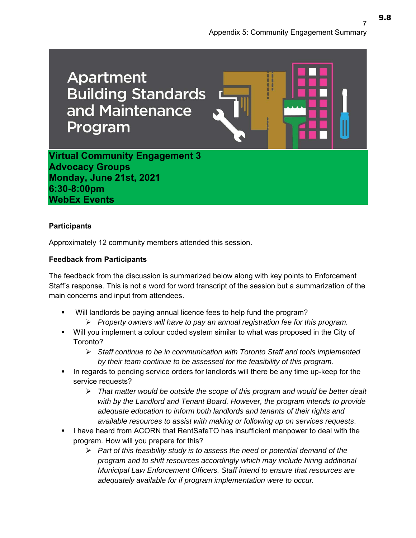**Apartment Building Standards** and Maintenance Program

**Virtual Community Engagement 3 Advocacy Groups** 

**Monday, June 21st, 2021 6:30-8:00pm WebEx Events** 

### **Participants**

Approximately 12 community members attended this session.

## **Feedback from Participants**

The feedback from the discussion is summarized below along with key points to Enforcement Staff's response. This is not a word for word transcript of the session but a summarization of the main concerns and input from attendees.

- Will landlords be paying annual licence fees to help fund the program?
	- *Property owners will have to pay an annual registration fee for this program.*
- Will you implement a colour coded system similar to what was proposed in the City of Toronto?
	- *Staff continue to be in communication with Toronto Staff and tools implemented by their team continue to be assessed for the feasibility of this program.*
- In regards to pending service orders for landlords will there be any time up-keep for the service requests?
	- *That matter would be outside the scope of this program and would be better dealt with by the Landlord and Tenant Board. However, the program intends to provide adequate education to inform both landlords and tenants of their rights and available resources to assist with making or following up on services requests*.
- I have heard from ACORN that RentSafeTO has insufficient manpower to deal with the program. How will you prepare for this?
	- *Part of this feasibility study is to assess the need or potential demand of the program and to shift resources accordingly which may include hiring additional Municipal Law Enforcement Officers. Staff intend to ensure that resources are adequately available for if program implementation were to occur.*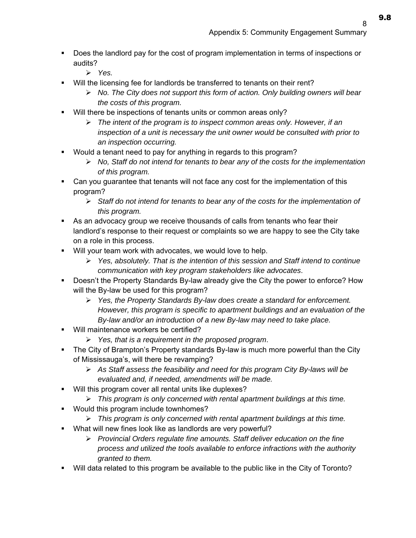- Does the landlord pay for the cost of program implementation in terms of inspections or audits?
	- *Yes.*
- Will the licensing fee for landlords be transferred to tenants on their rent?
	- *No. The City does not support this form of action. Only building owners will bear the costs of this program.*
- Will there be inspections of tenants units or common areas only?
	- *The intent of the program is to inspect common areas only. However, if an inspection of a unit is necessary the unit owner would be consulted with prior to an inspection occurring.*
- Would a tenant need to pay for anything in regards to this program?
	- *No, Staff do not intend for tenants to bear any of the costs for the implementation of this program.*
- Can you guarantee that tenants will not face any cost for the implementation of this program?
	- *Staff do not intend for tenants to bear any of the costs for the implementation of this program.*
- As an advocacy group we receive thousands of calls from tenants who fear their landlord's response to their request or complaints so we are happy to see the City take on a role in this process.
- Will your team work with advocates, we would love to help.
	- *Yes, absolutely. That is the intention of this session and Staff intend to continue communication with key program stakeholders like advocates*.
- Doesn't the Property Standards By-law already give the City the power to enforce? How will the By-law be used for this program?
	- *Yes, the Property Standards By-law does create a standard for enforcement. However, this program is specific to apartment buildings and an evaluation of the By-law and/or an introduction of a new By-law may need to take place.*
- Will maintenance workers be certified?
	- *Yes, that is a requirement in the proposed program*.
- The City of Brampton's Property standards By-law is much more powerful than the City of Mississauga's, will there be revamping?
	- *As Staff assess the feasibility and need for this program City By-laws will be evaluated and, if needed, amendments will be made.*
- Will this program cover all rental units like duplexes?
	- *This program is only concerned with rental apartment buildings at this time.*
- **Would this program include townhomes?** 
	- *This program is only concerned with rental apartment buildings at this time.*
- What will new fines look like as landlords are very powerful?
	- *Provincial Orders regulate fine amounts. Staff deliver education on the fine process and utilized the tools available to enforce infractions with the authority granted to them.*
- Will data related to this program be available to the public like in the City of Toronto?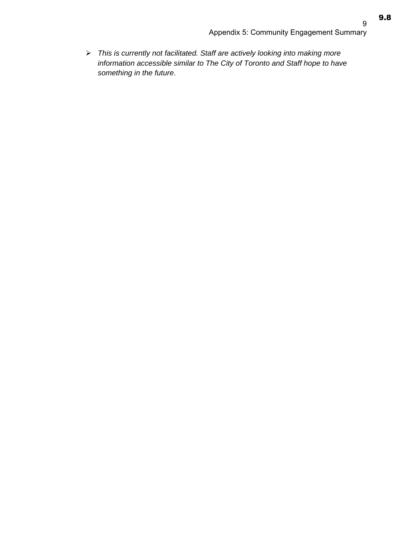9.8

 *This is currently not facilitated. Staff are actively looking into making more information accessible similar to The City of Toronto and Staff hope to have something in the future*.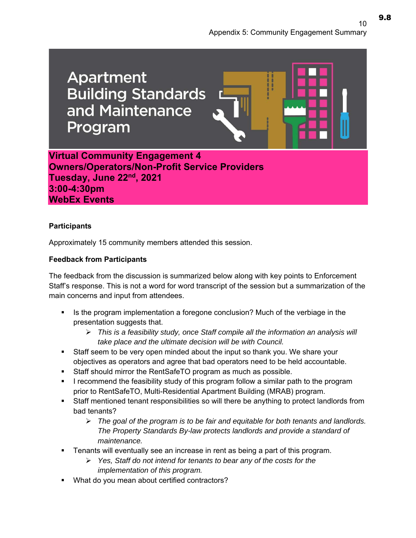**Apartment Building Standards** and Maintenance Program **Virtual Community Engagement 4** 

**Owners/Operators/Non-Profit Service Providers Tuesday, June 22nd, 2021 3:00-4:30pm WebEx Events** 

### **Participants**

Approximately 15 community members attended this session.

## **Feedback from Participants**

The feedback from the discussion is summarized below along with key points to Enforcement Staff's response. This is not a word for word transcript of the session but a summarization of the main concerns and input from attendees.

- Is the program implementation a foregone conclusion? Much of the verbiage in the presentation suggests that.
	- *This is a feasibility study, once Staff compile all the information an analysis will take place and the ultimate decision will be with Council.*
- Staff seem to be very open minded about the input so thank you. We share your objectives as operators and agree that bad operators need to be held accountable.
- Staff should mirror the RentSafeTO program as much as possible.
- I recommend the feasibility study of this program follow a similar path to the program prior to RentSafeTO, Multi-Residential Apartment Building (MRAB) program.
- Staff mentioned tenant responsibilities so will there be anything to protect landlords from bad tenants?
	- *The goal of the program is to be fair and equitable for both tenants and landlords. The Property Standards By-law protects landlords and provide a standard of maintenance.*
- Tenants will eventually see an increase in rent as being a part of this program.
	- *Yes, Staff do not intend for tenants to bear any of the costs for the implementation of this program.*
- What do you mean about certified contractors?